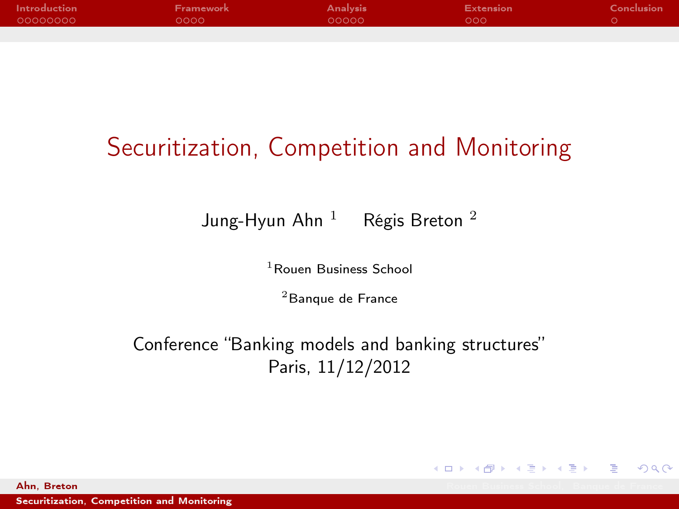| Introduction | Framework | <b>Analysis</b> | <b>Extension</b> | Conclusion |
|--------------|-----------|-----------------|------------------|------------|
| 00000000     | ററററ      | $00000 \times$  | LOOO 1           |            |
|              |           |                 |                  |            |

# Securitization, Competition and Monitoring

Jung-Hyun Ahn  $1$  Régis Breton  $2$ 

<sup>1</sup> Rouen Business School

<sup>2</sup> Banque de France

Conference "Banking models and banking structures" Paris, 11/12/2012

[Securitization, Competition and Monitoring](#page-25-0)

**Ahn, Breton Rouen Business School, Banque de France** 

<span id="page-0-0"></span> $\Omega$ 

**K ロ メ イ 団 メ イ ヨ メ イ ヨ メ ニ ヨ**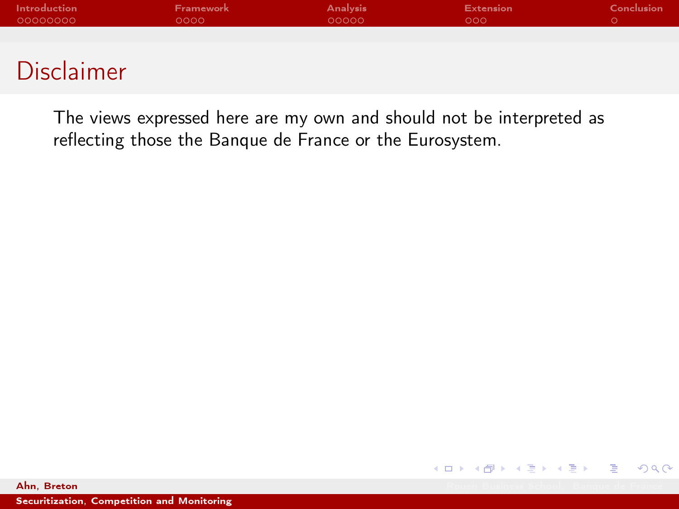| Framework | <b>Analysis</b> | Extension | Conclusion |
|-----------|-----------------|-----------|------------|
| 0000      | 00000           | റററ       |            |
|           |                 |           |            |
|           |                 |           |            |

#### Disclaimer

The views expressed here are my own and should not be interpreted as reflecting those the Banque de France or the Eurosystem.



[Securitization, Competition and Monitoring](#page-0-0)

**Ahn, Breton Rouen Business School, Banque de France**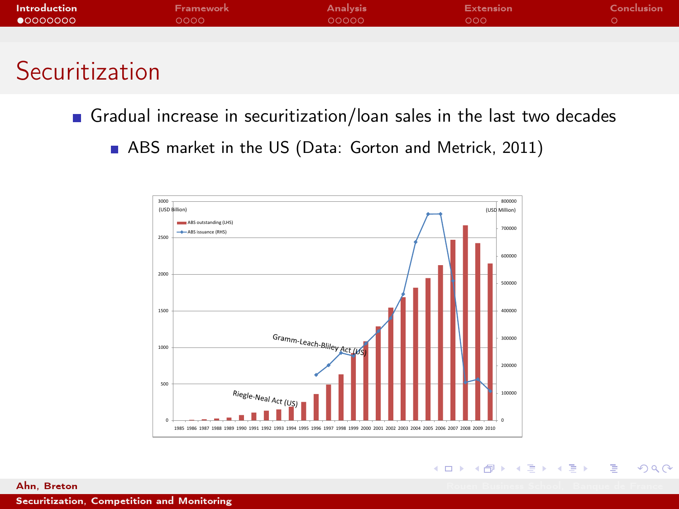| <b>Introduction</b> | <b>Framework</b> | <b>Analysis</b> | <b>Extension</b> | Conclusion |
|---------------------|------------------|-----------------|------------------|------------|
| $\bullet$ 0000000   | 0000             | 00000           | 000              |            |
|                     |                  |                 |                  |            |
|                     |                  |                 |                  |            |

# **Securitization**

- Gradual increase in securitization/loan sales in the last two decades
	- **ABS** market in the US (Data: Gorton and Metrick, 2011)

<span id="page-2-0"></span>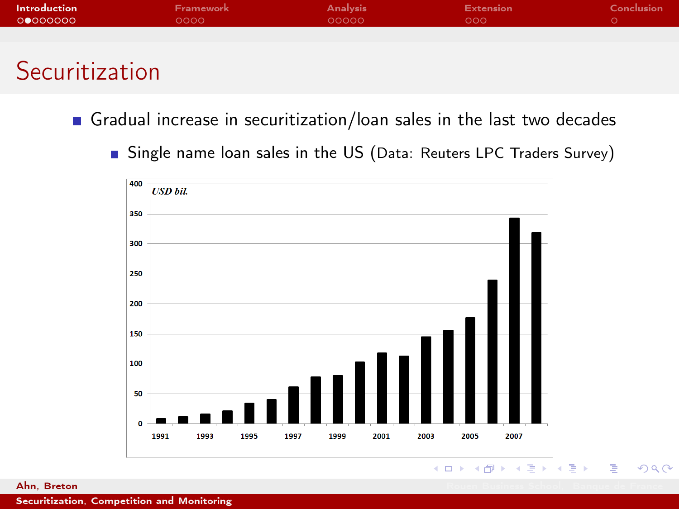| Introduction | <b>Framework</b> | <b>Analysis</b> | <b>Extension</b> | Conclusion |
|--------------|------------------|-----------------|------------------|------------|
| 00000000     | 0000             | 00000           | 000              |            |
|              |                  |                 |                  |            |
|              |                  |                 |                  |            |

## Securitization

Gradual increase in securitization/loan sales in the last two decades

Single name loan sales in the US (Data: Reuters LPC Traders Survey)



#### $($  ロ )  $($   $\overline{B}$  )  $($   $\overline{B}$  )  $($   $\overline{B}$  )  $QQQ$

**Ahn, Breton Rouen Business School, Banque de France**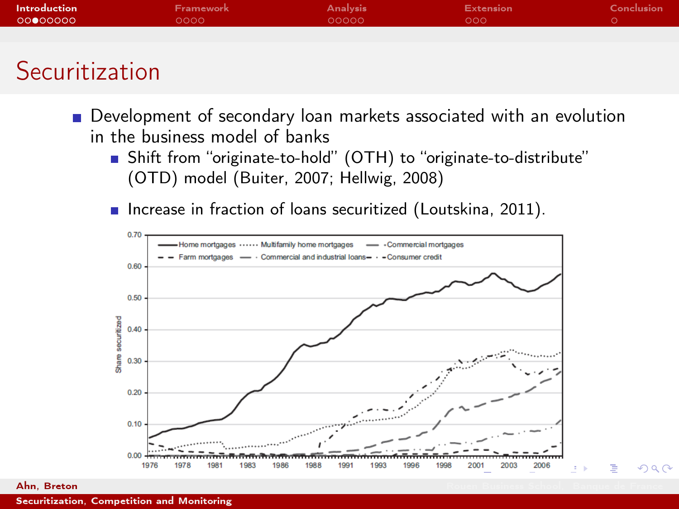| Introduction | <b>Framework</b> | <b>Analysis</b> | <b>Extension</b> | Conclusion |
|--------------|------------------|-----------------|------------------|------------|
| 00000000     | 0000 -           | 00000           | DOO Y            |            |
|              |                  |                 |                  |            |
|              |                  |                 |                  |            |

## Securitization

- Development of secondary loan markets associated with an evolution in the business model of banks
	- Shift from "originate-to-hold" (OTH) to "originate-to-distribute" (OTD) model (Buiter, 2007; Hellwig, 2008)
	- **n** Increase in fraction of loans securitized (Loutskina, 2011).



 $\Omega$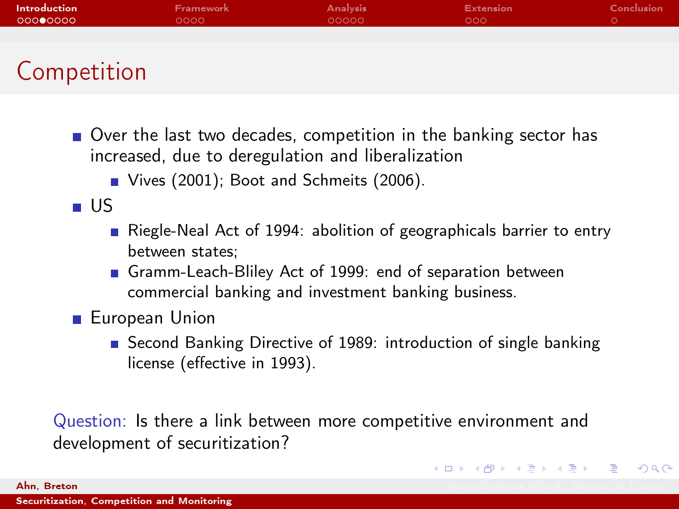| Introduction | <b>Framework</b> | <b>Analysis</b> | <b>Extension</b> | Conclusion |
|--------------|------------------|-----------------|------------------|------------|
| 00000000     | 0000             | 00000           | 000              |            |
|              |                  |                 |                  |            |
|              |                  |                 |                  |            |
| Competition  |                  |                 |                  |            |

- Over the last two decades, competition in the banking sector has increased, due to deregulation and liberalization
	- Vives (2001); Boot and Schmeits (2006).

US

- Riegle-Neal Act of 1994: abolition of geographicals barrier to entry between states;
- Gramm-Leach-Bliley Act of 1999: end of separation between commercial banking and investment banking business.
- **European Union** 
	- Second Banking Directive of 1989: introduction of single banking license (effective in 1993).

K ロ X K 個 X K ミ X X ミ X コ ミ

 $\Omega$ 

Question: Is there a link between more competitive environment and development of securitization?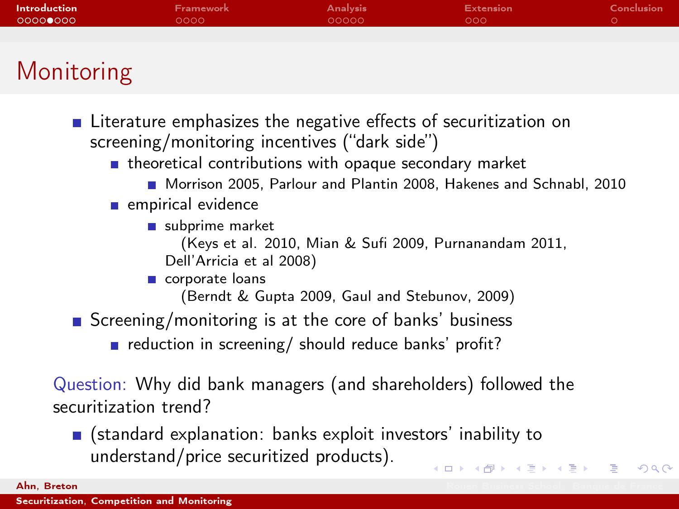| <b>Introduction</b> | Framework | <b>Analysis</b> | <b>Extension</b> | Conclusion |
|---------------------|-----------|-----------------|------------------|------------|
| 000000000           | 0000      | 00000           | 000              |            |
|                     |           |                 |                  |            |
|                     |           |                 |                  |            |

# Monitoring

- Literature emphasizes the negative effects of securitization on screening/monitoring incentives ("dark side")
	- $\blacksquare$  theoretical contributions with opaque secondary market
		- Morrison 2005, Parlour and Plantin 2008, Hakenes and Schnabl, 2010

 $QQQ$ 

#### $\blacksquare$  empirical evidence

- subprime market
	- (Keys et al. 2010, Mian & Sufi 2009, Purnanandam 2011, Dell'Arricia et al 2008)

#### corporate loans

(Berndt & Gupta 2009, Gaul and Stebunov, 2009)

- Screening/monitoring is at the core of banks' business
	- reduction in screening/ should reduce banks' profit?

Question: Why did bank managers (and shareholders) followed the securitization trend?

(standard explanation: banks exploit investors' inability to understand/price securitized products). K ロ X K 個 X K ミ X X ミ X コ ミ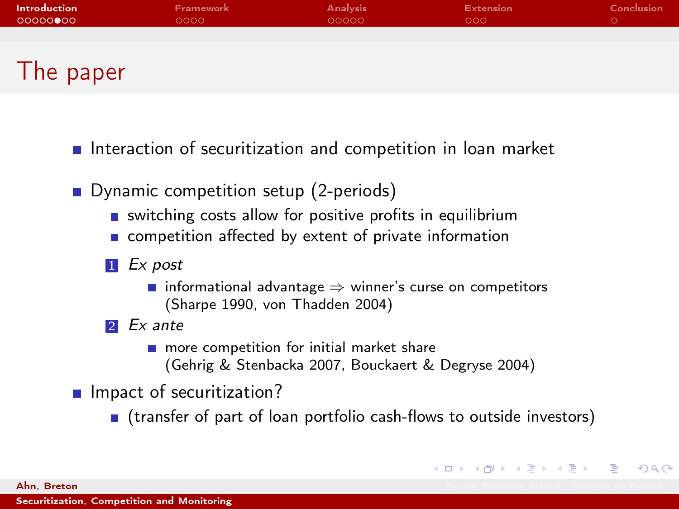| Introduction | Framework | <b>Analysis</b> | <b>Extension</b> | <b>Conclusion</b> |
|--------------|-----------|-----------------|------------------|-------------------|
| 00000000     | 0000      | 00000           | 000 <sub>o</sub> |                   |
|              |           |                 |                  |                   |
|              |           |                 |                  |                   |
| ┮            |           |                 |                  |                   |

- Interaction of securitization and competition in loan market
	- Dynamic competition setup (2-periods)
		- switching costs allow for positive profits in equilibrium
		- **n** competition affected by extent of private information
		- 1 Ex post
			- **■** informational advantage  $\Rightarrow$  winner's curse on competitors (Sharpe 1990, von Thadden 2004)
		- 2 Ex ante
			- $\blacksquare$  more competition for initial market share (Gehrig & Stenbacka 2007, Bouckaert & Degryse 2004)

 $\blacksquare$  Impact of securitization?

(transfer of part of loan portfolio cash-flows to outside investors)

K ロ X K 個 X K ミ X X ミ X コ ミ

 $QQQ$ 

I he paper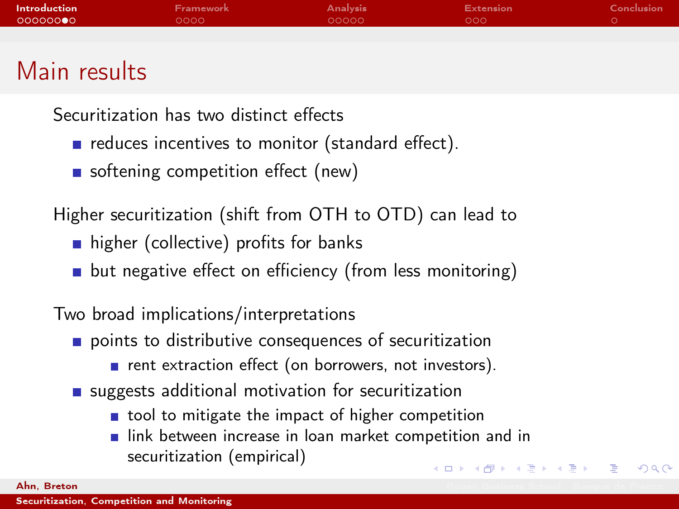| Introduction | <b>Framework</b> | <b>Analysis</b> | <b>Extension</b> | Conclusion |
|--------------|------------------|-----------------|------------------|------------|
| 00000000     | 0000             | 00000           | 000 <sub>o</sub> |            |
|              |                  |                 |                  |            |
|              |                  |                 |                  |            |

## Main results

Securitization has two distinct effects

- $\blacksquare$  reduces incentives to monitor (standard effect).
- softening competition effect (new)

Higher securitization (shift from OTH to OTD) can lead to

- higher (collective) profits for banks
- **but negative effect on efficiency (from less monitoring)**

Two broad implications/interpretations

- points to distributive consequences of securitization
	- $\blacksquare$  rent extraction effect (on borrowers, not investors).
- suggests additional motivation for securitization
	- tool to mitigate the impact of higher competition
	- link between increase in loan market competition and in securitization (empirical) K ロ ▶ K 個 ▶ K 글 ▶ K 글 ▶ 「 글 」 ⊙ Q ⊙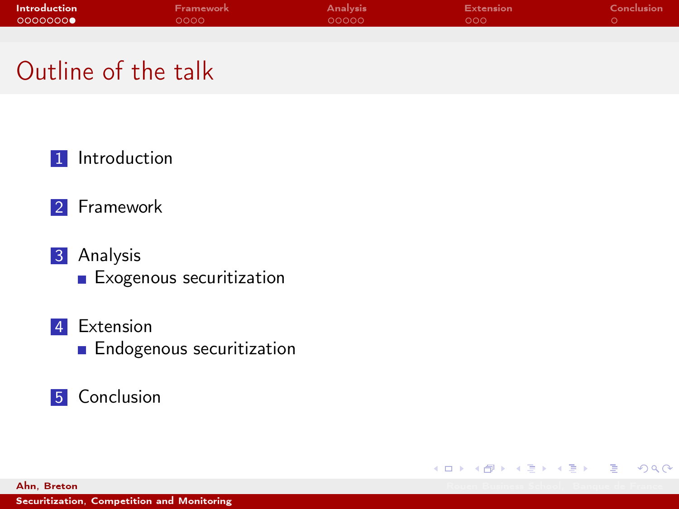| Introduction | <b>Framework</b> | <b>Analysis</b> | <b>Extension</b> | Conclusion |
|--------------|------------------|-----------------|------------------|------------|
| 00000000     | 0000             | 00000           | LOOO"            |            |
|              |                  |                 |                  |            |

K ロ ▶ K 優 ▶ K 결 ▶ K 결 ▶ ○ 결

 $QQQ$ 

## Outline of the talk

**1** [Introduction](#page-2-0)

#### 2 [Framework](#page-10-0)

- 3 [Analysis](#page-17-0)
	- **[Exogenous securitization](#page-17-0)**
- 4 [Extension](#page-22-0)
	- **[Endogenous securitization](#page-22-0)**
- **5** [Conclusion](#page-25-0)

**Ahn, Breton Rouen Business School, Banque de France**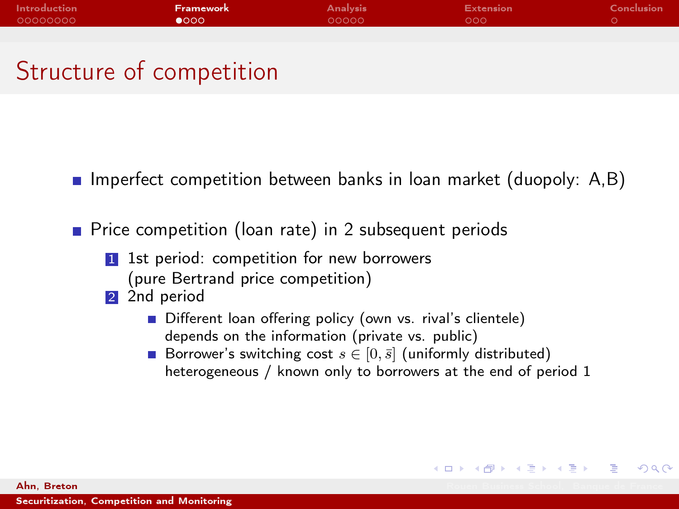| Introduction | Framework | <b>Analysis</b> | <b>Extension</b> | Conclusion |
|--------------|-----------|-----------------|------------------|------------|
| 00000000     | 0000      | 00000           | റററ              |            |
|              |           |                 |                  |            |

# Structure of competition

- **Imperfect competition between banks in loan market (duopoly:**  $A, B$ )
- **Price competition (loan rate) in 2 subsequent periods** 
	- 1 1st period: competition for new borrowers (pure Bertrand price competition)
	- 2 2nd period
		- Different loan offering policy (own vs. rival's clientele) depends on the information (private vs. public)
		- Borrower's switching cost  $s \in [0, \bar{s}]$  (uniformly distributed) heterogeneous / known only to borrowers at the end of period 1

K ロ X K 個 X K 至 X K 至 X 一重

<span id="page-10-0"></span> $QQQ$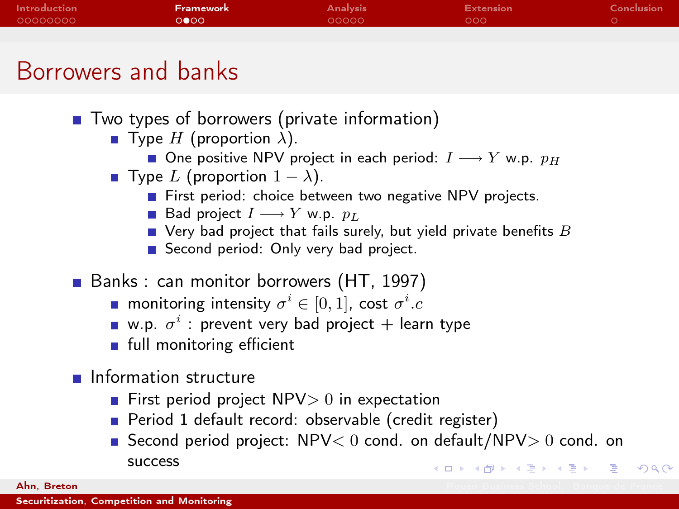| Introduction | Framework <b>'</b> | <b>Analysis</b> | Extension | Conclusion |
|--------------|--------------------|-----------------|-----------|------------|
| 00000000     | 0000               | 00000           | റററ       |            |
|              |                    |                 |           |            |

### Borrowers and banks

- Two types of borrowers (private information)
	- **T** Type H (proportion  $\lambda$ ).
		- One positive NPV project in each period:  $I \longrightarrow Y$  w.p.  $p_H$
	- Type L (proportion  $1 \lambda$ ).
		- First period: choice between two negative NPV projects.
		- Bad project  $I \longrightarrow Y$  w.p.  $p_L$
		- $\blacksquare$  Very bad project that fails surely, but yield private benefits  $B$
		- Second period: Only very bad project.
- Banks : can monitor borrowers (HT, 1997)
	- monitoring intensity  $\sigma^i \in [0,1]$ , cost  $\sigma^i.c$
	- w.p.  $\sigma^i$  : prevent very bad project  $+$  learn type
	- full monitoring efficient
- **Information structure** 
	- **First period project NPV** $> 0$  in expectation
	- Period 1 default record: observable (credit register)
	- Second period project:  $NPV < 0$  cond. on default/NPV $> 0$  cond. on success **KORKA SERKER DE VAN**

**Ahn, Breton Rouen Business School, Banque de France**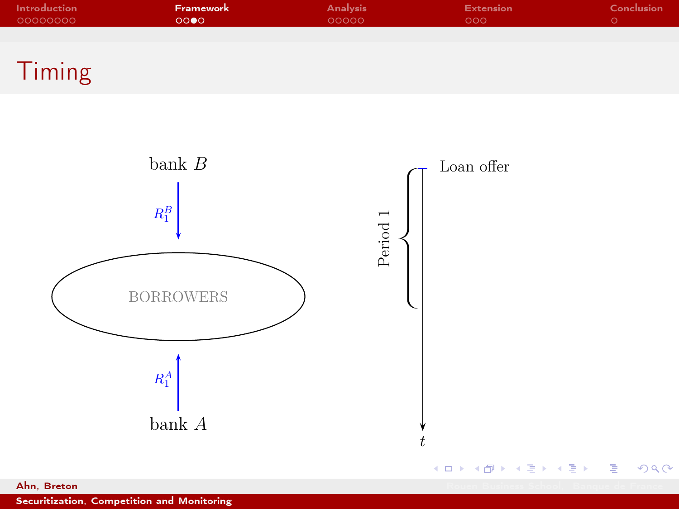| Introduction | Framework | <b>Analysis</b> | Extension | Conclusion |
|--------------|-----------|-----------------|-----------|------------|
| 00000000     | 0000      | 00000           | റററ       |            |
|              |           |                 |           |            |





[Securitization, Competition and Monitoring](#page-0-0)

**Ahn, Breton Rouen Business School, Banque de France** 

 $299$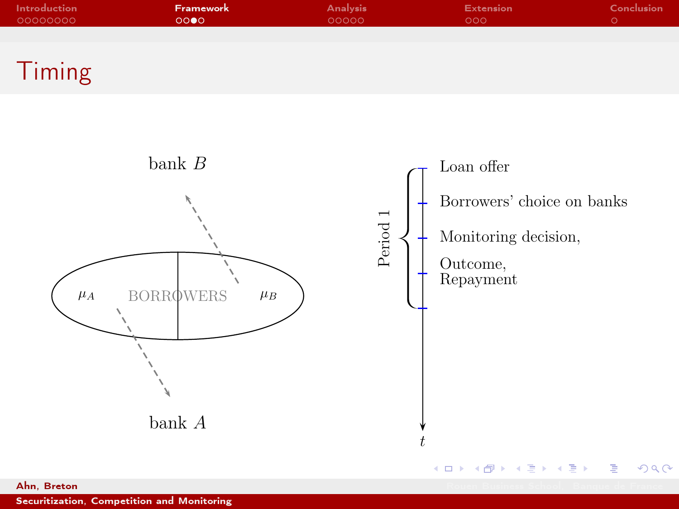| Introduction | <b>Framework</b> | <b>Analysis</b> | Extension        | Conclusion |
|--------------|------------------|-----------------|------------------|------------|
| 00000000     | 0000             | 00000           | 000 <sub>o</sub> |            |
|              |                  |                 |                  |            |





[Securitization, Competition and Monitoring](#page-0-0)

 $2990$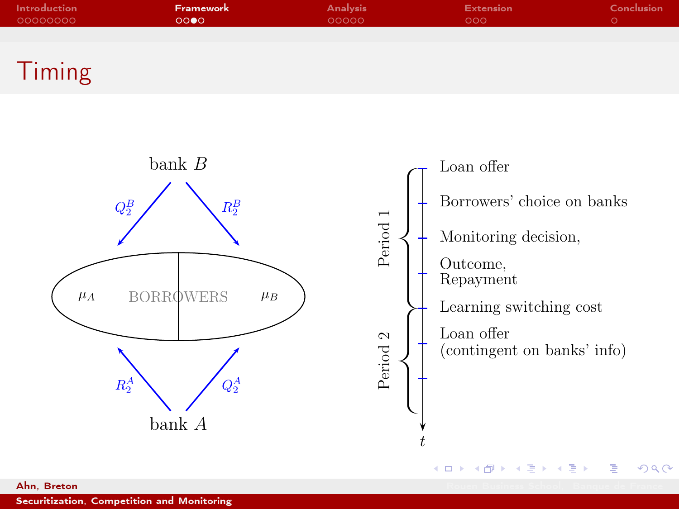| Introduction | Framework <b>1</b> | <b>Analysis</b> | Extension | Conclusion |
|--------------|--------------------|-----------------|-----------|------------|
| 00000000     | 0000               | 00000           | റററ       |            |
|              |                    |                 |           |            |





[Securitization, Competition and Monitoring](#page-0-0)

**Ahn, Breton Rouen Business School, Banque de France**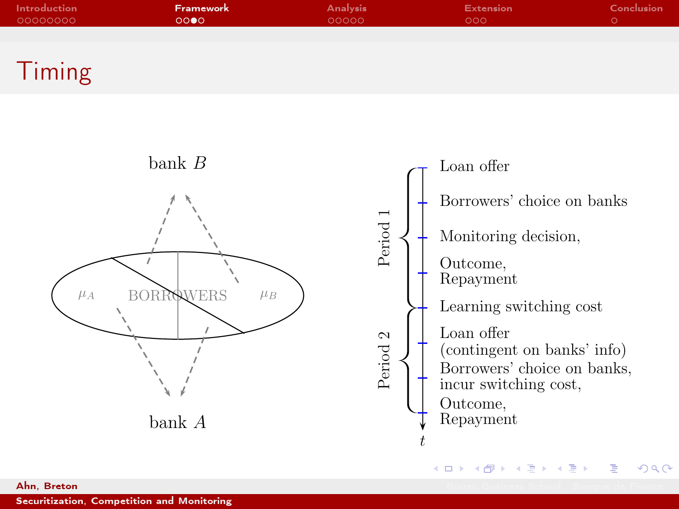| Introduction | Framework | <b>Analysis</b> | Extension | Conclusion |
|--------------|-----------|-----------------|-----------|------------|
| 00000000     | 0000      | 00000           | റററ       |            |
|              |           |                 |           |            |





**Ahn, Breton Rouen Business School, Banque de France**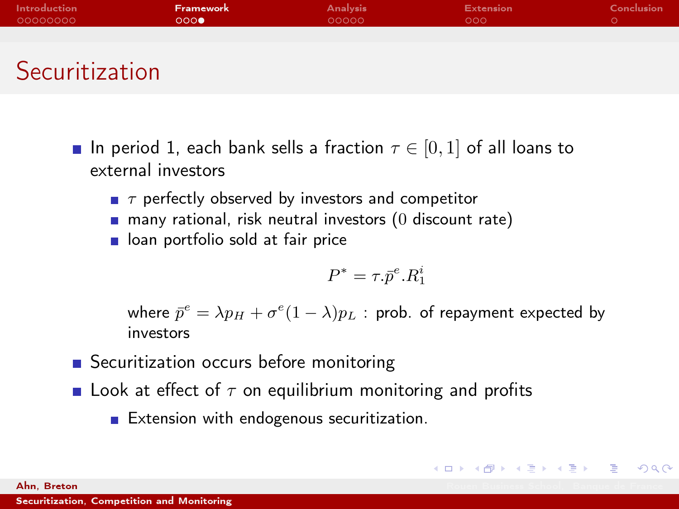| Introduction | Framework | <b>Analysis</b> | <b>Extension</b> | Conclusion |
|--------------|-----------|-----------------|------------------|------------|
| 00000000     | 000       | 00000           | 000              |            |
|              |           |                 |                  |            |
|              |           |                 |                  |            |
| Conmitian    |           |                 |                  |            |

- Securitization
	- In period 1, each bank sells a fraction  $\tau \in [0,1]$  of all loans to external investors
		- $\blacksquare$   $\tau$  perfectly observed by investors and competitor
		- $\blacksquare$  many rational, risk neutral investors (0 discount rate)
		- on portfolio sold at fair price

$$
P^* = \tau.\bar p^e.R_1^i
$$

イロト イ部 トイミト イミド ニミー のんぐ

where  $\bar{p}^e = \lambda p_H + \sigma^e (1-\lambda) p_L$  : prob. of repayment expected by investors

- Securitization occurs before monitoring
- **Look at effect of**  $\tau$  **on equilibrium monitoring and profits**

 $\blacksquare$  Extension with endogenous securitization.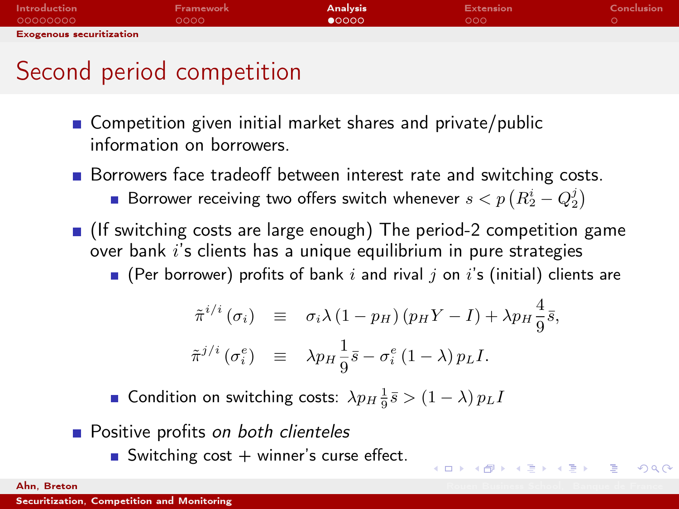| <b>Introduction</b>             | Framework | <b>Analysis</b> | <b>Extension</b> | Conclusion |
|---------------------------------|-----------|-----------------|------------------|------------|
| 00000000                        | 0000      | $\bullet$ 0000  | 000              |            |
| <b>Exogenous securitization</b> |           |                 |                  |            |

## Second period competition

- Competition given initial market shares and private/public information on borrowers.
- Borrowers face tradeoff between interest rate and switching costs. Borrower receiving two offers switch whenever  $s < p \left( R_2^i - Q_2^j \right)$
- (If switching costs are large enough) The period-2 competition game over bank  $i$ 's clients has a unique equilibrium in pure strategies
	- $\blacksquare$  (Per borrower) profits of bank i and rival j on i's (initial) clients are

$$
\tilde{\pi}^{i/i}(\sigma_i) \equiv \sigma_i \lambda (1 - p_H) (p_H Y - I) + \lambda p_H \frac{4}{9} \bar{s},
$$
  

$$
\tilde{\pi}^{j/i} (\sigma_i^e) \equiv \lambda p_H \frac{1}{9} \bar{s} - \sigma_i^e (1 - \lambda) p_L I.
$$

K ロ X K 個 X K ミ X X ミ X コ ミ

<span id="page-17-0"></span> $QQQ$ 

Condition on switching costs:  $\lambda p_H \frac{1}{9} \bar{s} > (1 - \lambda) p_L I$ 

- **Positive profits on both clienteles** 
	- Switching cost  $+$  winner's curse effect.

**Ahn, Breton Rouen Business School, Banque de France**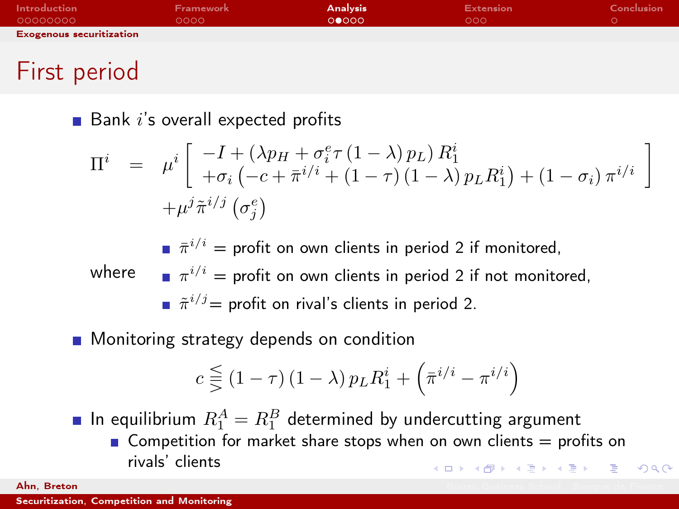| <b>Introduction</b>             | <b>Framework</b> | <b>Analysis</b> | <b>Extension</b> | Conclusion |
|---------------------------------|------------------|-----------------|------------------|------------|
| 00000000                        | 0000             | 00000           | 000              |            |
| <b>Exogenous securitization</b> |                  |                 |                  |            |
|                                 |                  |                 |                  |            |
| $\overline{ }$                  |                  |                 |                  |            |

#### First period

 $\blacksquare$  Bank i's overall expected profits

$$
\Pi^{i} = \mu^{i} \begin{bmatrix} -I + (\lambda p_{H} + \sigma_{i}^{e} \tau (1 - \lambda) p_{L}) R_{1}^{i} \\ + \sigma_{i} \left( -c + \bar{\pi}^{i/i} + (1 - \tau) (1 - \lambda) p_{L} R_{1}^{i} \right) + (1 - \sigma_{i}) \pi^{i/i} \end{bmatrix} + \mu^{j} \tilde{\pi}^{i/j} (\sigma_{j}^{e})
$$

where  $\qquad \blacksquare \; \pi^{i/i} =$  profit on own clients in period 2 if not monitored,  $\bar{\pi}^{i/i} =$  profit on own clients in period 2 if monitored,  $\tilde{\pi}^{i/j}$ = profit on rival's clients in period 2.

#### **Monitoring strategy depends on condition**

$$
c \lesseqqgtr \big(1 - \tau\big) \left(1 - \lambda\right) p_L R_1^i + \left(\bar{\pi}^{i/i} - \pi^{i/i}\right)
$$

In equilibrium  $R_1^A=R_1^B$  determined by undercutting argument

Gompetition for market share stops when on own clients  $=$  profits on rivals' clients .<br>◆ ロ ▶ → *메* ▶ → 로 ▶ → 로 ▶ │ 로 │ ◆) ٩. (^

**Ahn, Breton Rouen Business School, Banque de France**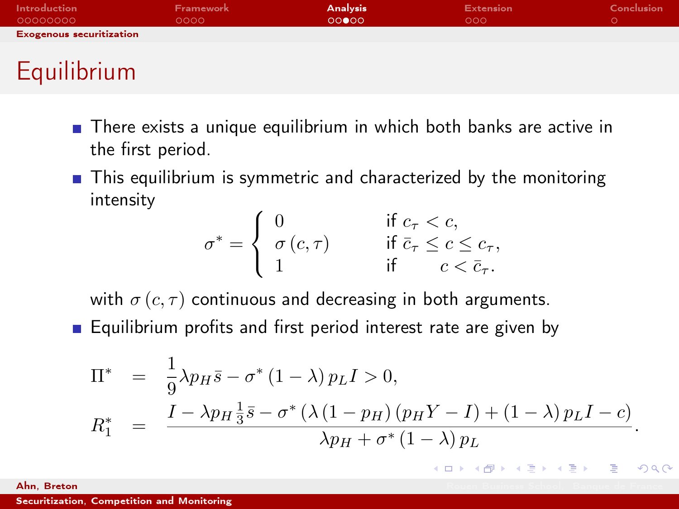| <b>Introduction</b>             | Framework | <b>Analysis</b> | <b>Extension</b> | Conclusion |
|---------------------------------|-----------|-----------------|------------------|------------|
| 00000000                        | 0000      | 00000           | 000              |            |
| <b>Exogenous securitization</b> |           |                 |                  |            |
|                                 |           |                 |                  |            |
| Equilibrium                     |           |                 |                  |            |

- **There exists a unique equilibrium in which both banks are active in** the first period.
- $\blacksquare$  This equilibrium is symmetric and characterized by the monitoring intensity

$$
\sigma^* = \begin{cases}\n0 & \text{if } c_\tau < c, \\
\sigma(c, \tau) & \text{if } \bar{c}_\tau \leq c \leq c_\tau, \\
1 & \text{if } c < \bar{c}_\tau.\n\end{cases}
$$

with  $\sigma(c, \tau)$  continuous and decreasing in both arguments. **Equilibrium profits and first period interest rate are given by** 

$$
\Pi^* = \frac{1}{9} \lambda p_H \bar{s} - \sigma^* (1 - \lambda) p_L I > 0,
$$
  
\n
$$
R_1^* = \frac{I - \lambda p_H \frac{1}{3} \bar{s} - \sigma^* (\lambda (1 - p_H) (p_H Y - I) + (1 - \lambda) p_L I - c)}{\lambda p_H + \sigma^* (1 - \lambda) p_L}.
$$

**K ロ メ イ 団 メ イ ヨ メ イ ヨ メ ニ ヨ** 

 $QQQ$ 

**Ahn, Breton Rouen Business School, Banque de France**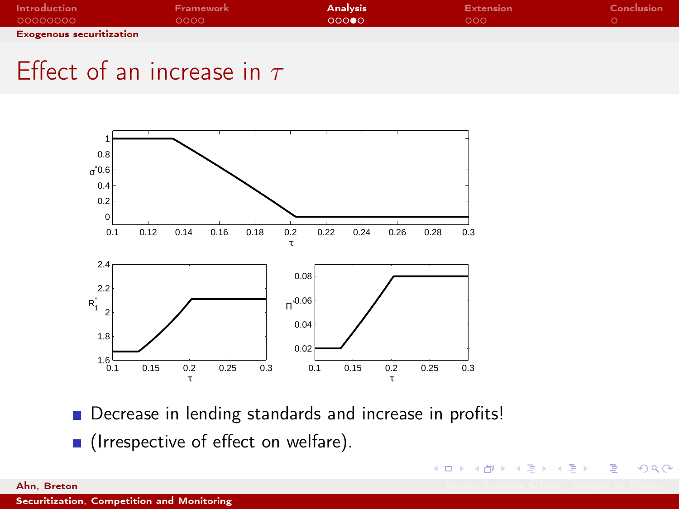| Introduction                    | Framework | <b>Analysis</b> | <b>Extension</b> | Conclusion |
|---------------------------------|-----------|-----------------|------------------|------------|
| 00000000                        | 0000      | റററൈ            | റററ              |            |
| <b>Exogenous securitization</b> |           |                 |                  |            |

## Effect of an increase in  $\tau$



Decrease in lending standards and increase in profits!

キロメ メ都 メメ きょうくぼう

÷,

<span id="page-20-0"></span> $QQ$ 

**I** (Irrespective of effect on welfare).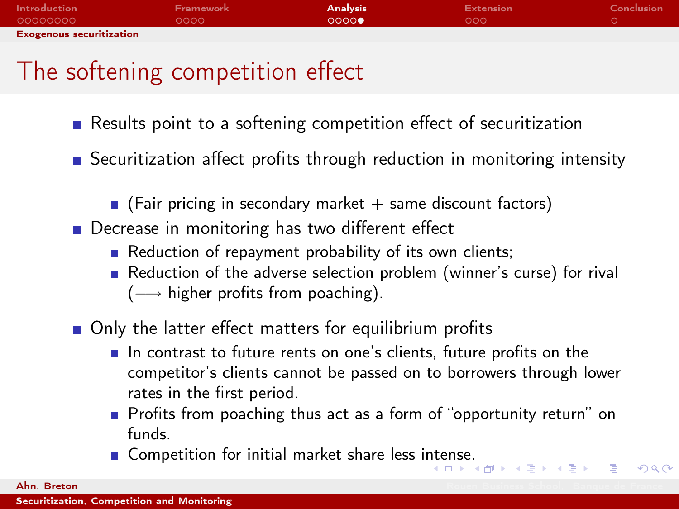| <b>Introduction</b>             | Framework | <b>Analysis</b> | <b>Extension</b> | Conclusion |
|---------------------------------|-----------|-----------------|------------------|------------|
| 00000000                        | 0000      | 0000            | 000              |            |
| <b>Exogenous securitization</b> |           |                 |                  |            |

# The softening competition effect

- Results point to a softening competition effect of securitization
- **Securitization affect profits through reduction in monitoring intensity** 
	- $\blacksquare$  (Fair pricing in secondary market  $+$  same discount factors)
- Decrease in monitoring has two different effect
	- Reduction of repayment probability of its own clients;
	- Reduction of the adverse selection problem (winner's curse) for rival  $(\longrightarrow$  higher profits from poaching).
- Only the latter effect matters for equilibrium profits
	- In contrast to future rents on one's clients, future profits on the competitor's clients cannot be passed on to borrowers through lower rates in the first period.
	- Profits from poaching thus act as a form of "opportunity return" on funds.

 $QQQ$ 

**Example 1** Competition for initial market share less i[nte](#page-20-0)[nse](#page-22-0)[.](#page-20-0)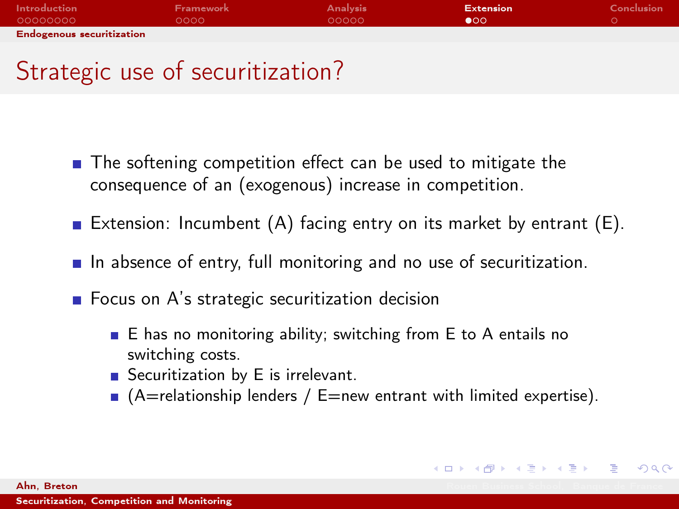| Introduction                     | Framework | <b>Analysis</b> | <b>Extension</b> | Conclusion |
|----------------------------------|-----------|-----------------|------------------|------------|
| 00000000                         | ററററ      | -ററററ           | ൈ                |            |
| <b>Endogenous securitization</b> |           |                 |                  |            |

# Strategic use of securitization?

- The softening competition effect can be used to mitigate the consequence of an (exogenous) increase in competition.
- **Extension: Incumbent (A) facing entry on its market by entrant (E).**
- $\blacksquare$  In absence of entry, full monitoring and no use of securitization.
- $\blacksquare$  Focus on A's strategic securitization decision
	- $\blacksquare$  E has no monitoring ability; switching from E to A entails no switching costs.
	- Securitization by E is irrelevant.
	- $\blacksquare$  (A=relationship lenders / E=new entrant with limited expertise).

K ロ X K @ X K 할 X K 할 X → 할

<span id="page-22-0"></span> $\Omega$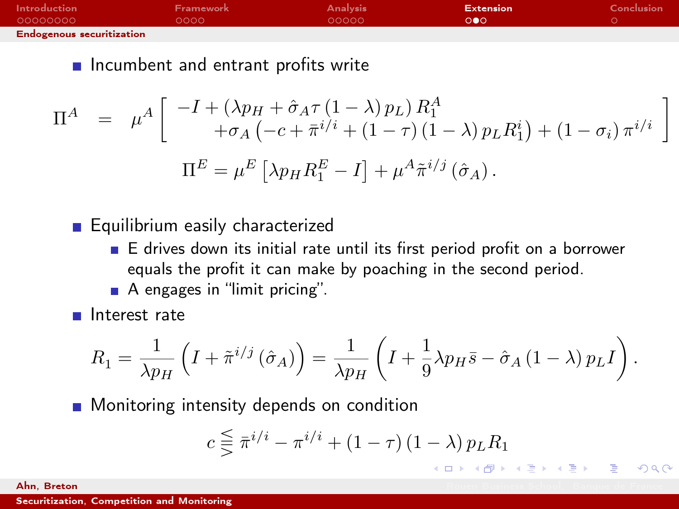| <b>Introduction</b>              | Framework | <b>Analysis</b> | <b>Extension</b> | Conclusion |
|----------------------------------|-----------|-----------------|------------------|------------|
| 00000000                         | LOOOO I   | - റററററ         | റൈ               |            |
| <b>Endogenous securitization</b> |           |                 |                  |            |

 $\blacksquare$  Incumbent and entrant profits write

$$
\Pi^{A} = \mu^{A} \begin{bmatrix} -I + (\lambda p_{H} + \hat{\sigma}_{A}\tau (1-\lambda) p_{L}) R_{1}^{A} \\ + \sigma_{A} \left( -c + \bar{\pi}^{i/i} + (1-\tau) (1-\lambda) p_{L} R_{1}^{i} \right) + (1-\sigma_{i}) \pi^{i/i} \end{bmatrix}
$$

$$
\Pi^{E} = \mu^{E} \left[ \lambda p_{H} R_{1}^{E} - I \right] + \mu^{A} \tilde{\pi}^{i/j} \left( \hat{\sigma}_{A} \right).
$$

**Equilibrium easily characterized** 

- $\blacksquare$  E drives down its initial rate until its first period profit on a borrower equals the profit it can make by poaching in the second period.
- A engages in "limit pricing".

 $\blacksquare$  Interest rate

$$
R_1 = \frac{1}{\lambda p_H} \left( I + \tilde{\pi}^{i/j} \left( \hat{\sigma}_A \right) \right) = \frac{1}{\lambda p_H} \left( I + \frac{1}{9} \lambda p_H \bar{s} - \hat{\sigma}_A \left( 1 - \lambda \right) p_L I \right).
$$

**Monitoring intensity depends on condition** 

$$
c \lesseqqgtr \overline{\pi}^{i/i} - \pi^{i/i} + (1 - \tau) (1 - \lambda) p_L R_1
$$

K ロ X K 個 X K ミ X X ミ X コ ミ

 $QQQ$ 

**Ahn, Breton Rouen Business School, Banque de France**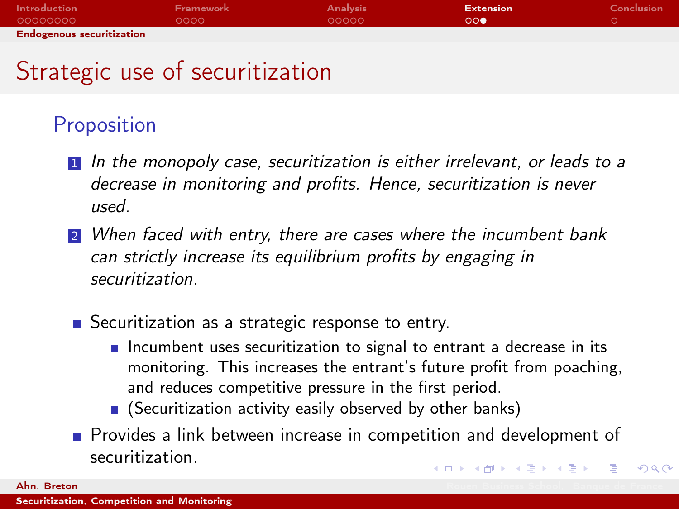| Introduction                     | Framework | <b>Analysis</b> | Extension | Conclusion |  |  |
|----------------------------------|-----------|-----------------|-----------|------------|--|--|
| 00000000                         | റററെ      | - റററററ         | 00        |            |  |  |
| <b>Endogenous securitization</b> |           |                 |           |            |  |  |

# Strategic use of securitization

#### Proposition

- 1 In the monopoly case, securitization is either irrelevant, or leads to a decrease in monitoring and profits. Hence, securitization is never used.
- **2** When faced with entry, there are cases where the incumbent bank can strictly increase its equilibrium profits by engaging in securitization.
- Securitization as a strategic response to entry.
	- $\blacksquare$  Incumbent uses securitization to signal to entrant a decrease in its monitoring. This increases the entrant's future profit from poaching, and reduces competitive pressure in the first period.
	- **E** (Securitization activity easily observed by other banks)
- **Provides a link between increase in competition and development of** securitization. イロト 不優 ト 不重 ト 不重 トー 重  $\Omega$